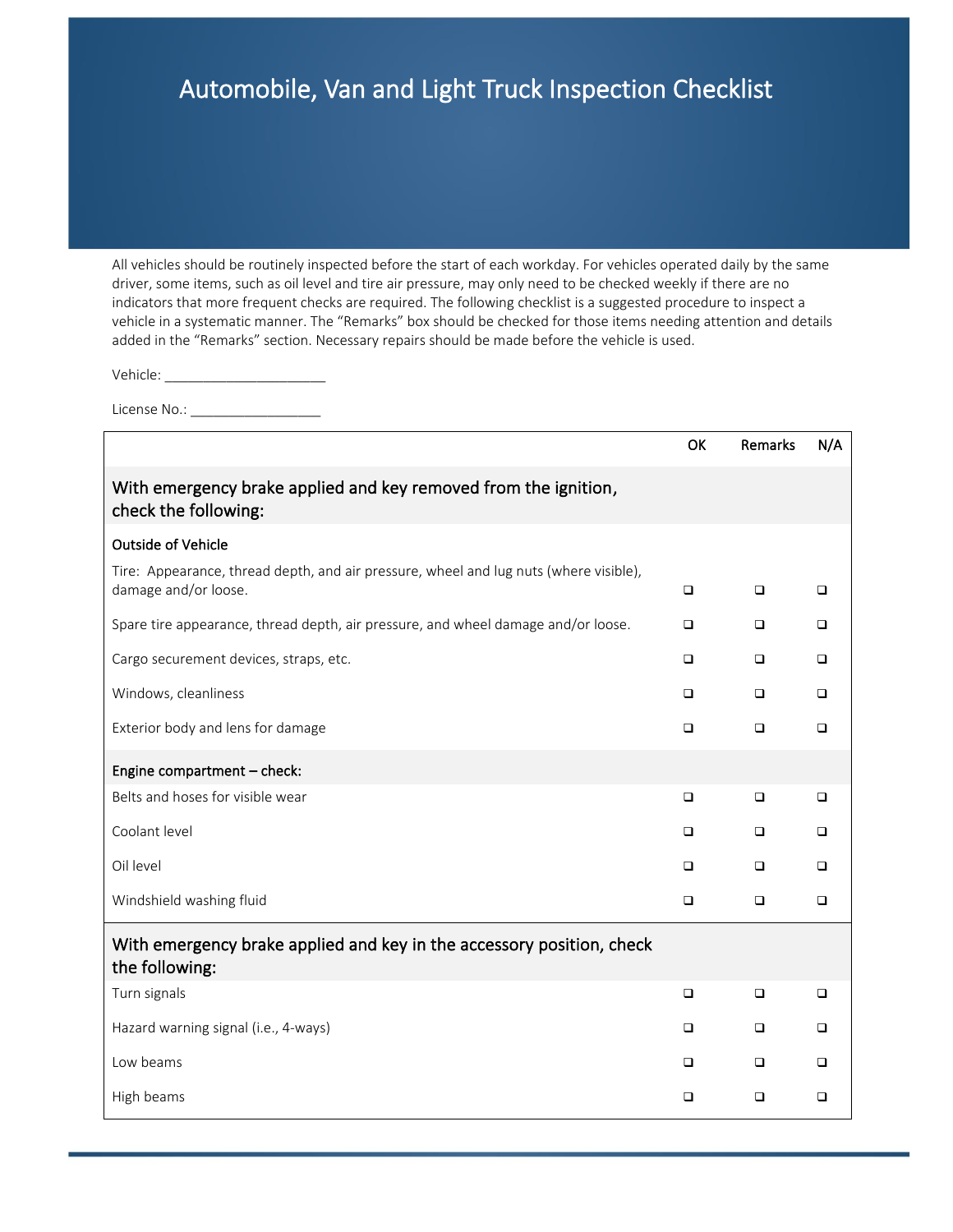## Automobile, Van and Light Truck Inspection Checklist

All vehicles should be routinely inspected before the start of each workday. For vehicles operated daily by the same driver, some items, such as oil level and tire air pressure, may only need to be checked weekly if there are no indicators that more frequent checks are required. The following checklist is a suggested procedure to inspect a vehicle in a systematic manner. The "Remarks" box should be checked for those items needing attention and details added in the "Remarks" section. Necessary repairs should be made before the vehicle is used.

Vehicle: \_\_\_\_\_\_\_\_\_\_\_\_\_\_\_\_\_\_\_\_\_

License No.: \_\_\_\_\_\_\_\_\_\_\_\_\_\_\_\_\_

|                                                                                                               | <b>OK</b> | Remarks | N/A    |
|---------------------------------------------------------------------------------------------------------------|-----------|---------|--------|
| With emergency brake applied and key removed from the ignition,<br>check the following:                       |           |         |        |
| <b>Outside of Vehicle</b>                                                                                     |           |         |        |
| Tire: Appearance, thread depth, and air pressure, wheel and lug nuts (where visible),<br>damage and/or loose. | $\Box$    | $\Box$  | $\Box$ |
| Spare tire appearance, thread depth, air pressure, and wheel damage and/or loose.                             | ▫         | □       | □      |
| Cargo securement devices, straps, etc.                                                                        | $\Box$    | $\Box$  | $\Box$ |
| Windows, cleanliness                                                                                          | $\Box$    | $\Box$  | $\Box$ |
| Exterior body and lens for damage                                                                             | □         | $\Box$  | $\Box$ |
| Engine compartment - check:                                                                                   |           |         |        |
| Belts and hoses for visible wear                                                                              | $\Box$    | $\Box$  | $\Box$ |
| Coolant level                                                                                                 | $\Box$    | $\Box$  | $\Box$ |
| Oil level                                                                                                     | ▫         | $\Box$  | $\Box$ |
| Windshield washing fluid                                                                                      | $\Box$    | $\Box$  | $\Box$ |
| With emergency brake applied and key in the accessory position, check<br>the following:                       |           |         |        |
| Turn signals                                                                                                  | $\Box$    | □       | $\Box$ |
| Hazard warning signal (i.e., 4-ways)                                                                          | ❏         | $\Box$  | $\Box$ |
| Low beams                                                                                                     | □         | $\Box$  | $\Box$ |
| High beams                                                                                                    | □         | $\Box$  | □      |